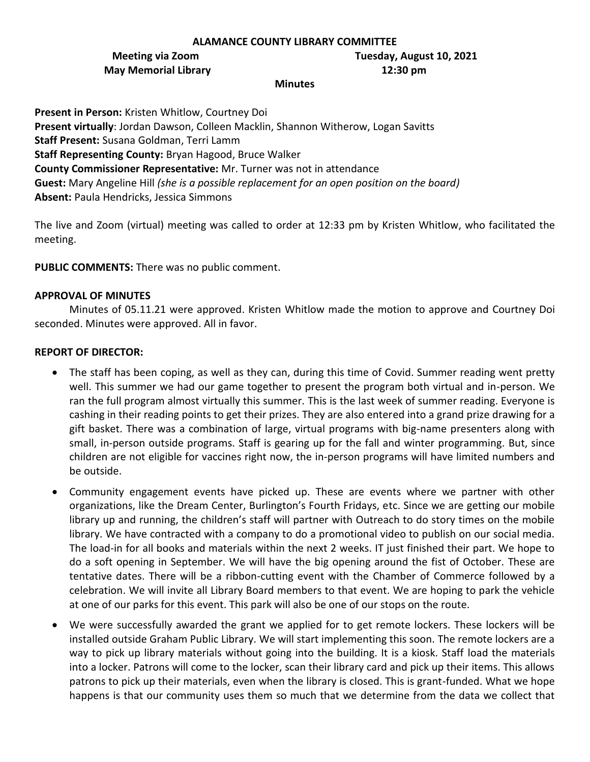#### **ALAMANCE COUNTY LIBRARY COMMITTEE**

# **May Memorial Library 12:30 pm**

**Meeting via Zoom Tuesday, August 10, 2021**

#### **Minutes**

**Present in Person:** Kristen Whitlow, Courtney Doi **Present virtually**: Jordan Dawson, Colleen Macklin, Shannon Witherow, Logan Savitts **Staff Present:** Susana Goldman, Terri Lamm **Staff Representing County:** Bryan Hagood, Bruce Walker **County Commissioner Representative:** Mr. Turner was not in attendance **Guest:** Mary Angeline Hill *(she is a possible replacement for an open position on the board)* **Absent:** Paula Hendricks, Jessica Simmons

The live and Zoom (virtual) meeting was called to order at 12:33 pm by Kristen Whitlow, who facilitated the meeting.

**PUBLIC COMMENTS:** There was no public comment.

#### **APPROVAL OF MINUTES**

Minutes of 05.11.21 were approved. Kristen Whitlow made the motion to approve and Courtney Doi seconded. Minutes were approved. All in favor.

# **REPORT OF DIRECTOR:**

- The staff has been coping, as well as they can, during this time of Covid. Summer reading went pretty well. This summer we had our game together to present the program both virtual and in-person. We ran the full program almost virtually this summer. This is the last week of summer reading. Everyone is cashing in their reading points to get their prizes. They are also entered into a grand prize drawing for a gift basket. There was a combination of large, virtual programs with big-name presenters along with small, in-person outside programs. Staff is gearing up for the fall and winter programming. But, since children are not eligible for vaccines right now, the in-person programs will have limited numbers and be outside.
- Community engagement events have picked up. These are events where we partner with other organizations, like the Dream Center, Burlington's Fourth Fridays, etc. Since we are getting our mobile library up and running, the children's staff will partner with Outreach to do story times on the mobile library. We have contracted with a company to do a promotional video to publish on our social media. The load-in for all books and materials within the next 2 weeks. IT just finished their part. We hope to do a soft opening in September. We will have the big opening around the fist of October. These are tentative dates. There will be a ribbon-cutting event with the Chamber of Commerce followed by a celebration. We will invite all Library Board members to that event. We are hoping to park the vehicle at one of our parks for this event. This park will also be one of our stops on the route.
- We were successfully awarded the grant we applied for to get remote lockers. These lockers will be installed outside Graham Public Library. We will start implementing this soon. The remote lockers are a way to pick up library materials without going into the building. It is a kiosk. Staff load the materials into a locker. Patrons will come to the locker, scan their library card and pick up their items. This allows patrons to pick up their materials, even when the library is closed. This is grant-funded. What we hope happens is that our community uses them so much that we determine from the data we collect that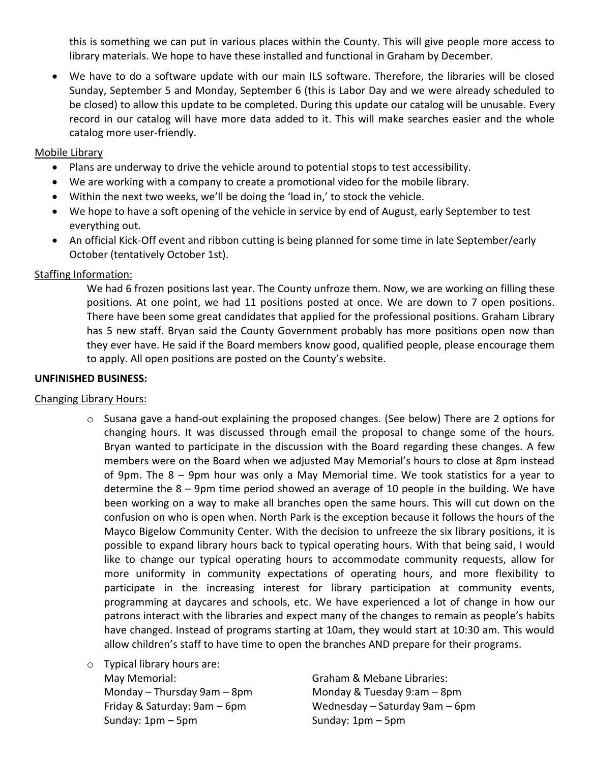this is something we can put in various places within the County. This will give people more access to library materials. We hope to have these installed and functional in Graham by December.

• We have to do a software update with our main ILS software. Therefore, the libraries will be closed Sunday, September 5 and Monday, September 6 (this is Labor Day and we were already scheduled to be closed) to allow this update to be completed. During this update our catalog will be unusable. Every record in our catalog will have more data added to it. This will make searches easier and the whole catalog more user-friendly.

# Mobile Library

- Plans are underway to drive the vehicle around to potential stops to test accessibility.
- We are working with a company to create a promotional video for the mobile library.
- Within the next two weeks, we'll be doing the 'load in,' to stock the vehicle.
- We hope to have a soft opening of the vehicle in service by end of August, early September to test everything out.
- An official Kick-Off event and ribbon cutting is being planned for some time in late September/early October (tentatively October 1st).

# Staffing Information:

We had 6 frozen positions last year. The County unfroze them. Now, we are working on filling these positions. At one point, we had 11 positions posted at once. We are down to 7 open positions. There have been some great candidates that applied for the professional positions. Graham Library has 5 new staff. Bryan said the County Government probably has more positions open now than they ever have. He said if the Board members know good, qualified people, please encourage them to apply. All open positions are posted on the County's website.

# **UNFINISHED BUSINESS:**

# Changing Library Hours:

- $\circ$  Susana gave a hand-out explaining the proposed changes. (See below) There are 2 options for changing hours. It was discussed through email the proposal to change some of the hours. Bryan wanted to participate in the discussion with the Board regarding these changes. A few members were on the Board when we adjusted May Memorial's hours to close at 8pm instead of 9pm. The 8 – 9pm hour was only a May Memorial time. We took statistics for a year to determine the 8 – 9pm time period showed an average of 10 people in the building. We have been working on a way to make all branches open the same hours. This will cut down on the confusion on who is open when. North Park is the exception because it follows the hours of the Mayco Bigelow Community Center. With the decision to unfreeze the six library positions, it is possible to expand library hours back to typical operating hours. With that being said, I would like to change our typical operating hours to accommodate community requests, allow for more uniformity in community expectations of operating hours, and more flexibility to participate in the increasing interest for library participation at community events, programming at daycares and schools, etc. We have experienced a lot of change in how our patrons interact with the libraries and expect many of the changes to remain as people's habits have changed. Instead of programs starting at 10am, they would start at 10:30 am. This would allow children's staff to have time to open the branches AND prepare for their programs.
- o Typical library hours are: May Memorial: Graham & Mebane Libraries: Sunday: 1pm – 5pm Sunday: 1pm – 5pm

Monday – Thursday 9am – 8pm Monday & Tuesday 9:am – 8pm Friday & Saturday: 9am – 6pm Wednesday – Saturday 9am – 6pm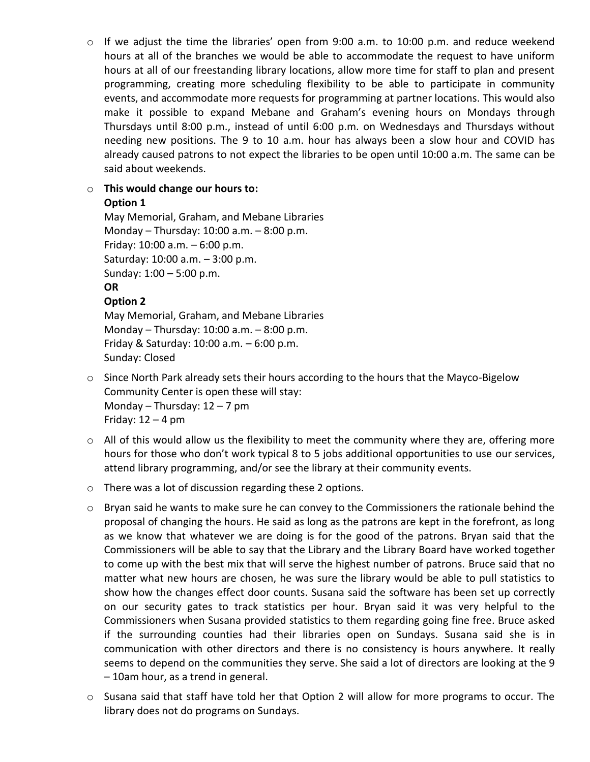o If we adjust the time the libraries' open from 9:00 a.m. to 10:00 p.m. and reduce weekend hours at all of the branches we would be able to accommodate the request to have uniform hours at all of our freestanding library locations, allow more time for staff to plan and present programming, creating more scheduling flexibility to be able to participate in community events, and accommodate more requests for programming at partner locations. This would also make it possible to expand Mebane and Graham's evening hours on Mondays through Thursdays until 8:00 p.m., instead of until 6:00 p.m. on Wednesdays and Thursdays without needing new positions. The 9 to 10 a.m. hour has always been a slow hour and COVID has already caused patrons to not expect the libraries to be open until 10:00 a.m. The same can be said about weekends.

# o **This would change our hours to:**

# **Option 1**

May Memorial, Graham, and Mebane Libraries Monday – Thursday: 10:00 a.m. – 8:00 p.m. Friday: 10:00 a.m. – 6:00 p.m. Saturday: 10:00 a.m. – 3:00 p.m. Sunday: 1:00 – 5:00 p.m. **OR Option 2** May Memorial, Graham, and Mebane Libraries

Monday – Thursday: 10:00 a.m. – 8:00 p.m. Friday & Saturday: 10:00 a.m. – 6:00 p.m. Sunday: Closed

- $\circ$  Since North Park already sets their hours according to the hours that the Mayco-Bigelow Community Center is open these will stay: Monday – Thursday: 12 – 7 pm Friday:  $12 - 4$  pm
- $\circ$  All of this would allow us the flexibility to meet the community where they are, offering more hours for those who don't work typical 8 to 5 jobs additional opportunities to use our services, attend library programming, and/or see the library at their community events.
- o There was a lot of discussion regarding these 2 options.
- o Bryan said he wants to make sure he can convey to the Commissioners the rationale behind the proposal of changing the hours. He said as long as the patrons are kept in the forefront, as long as we know that whatever we are doing is for the good of the patrons. Bryan said that the Commissioners will be able to say that the Library and the Library Board have worked together to come up with the best mix that will serve the highest number of patrons. Bruce said that no matter what new hours are chosen, he was sure the library would be able to pull statistics to show how the changes effect door counts. Susana said the software has been set up correctly on our security gates to track statistics per hour. Bryan said it was very helpful to the Commissioners when Susana provided statistics to them regarding going fine free. Bruce asked if the surrounding counties had their libraries open on Sundays. Susana said she is in communication with other directors and there is no consistency is hours anywhere. It really seems to depend on the communities they serve. She said a lot of directors are looking at the 9 – 10am hour, as a trend in general.
- o Susana said that staff have told her that Option 2 will allow for more programs to occur. The library does not do programs on Sundays.